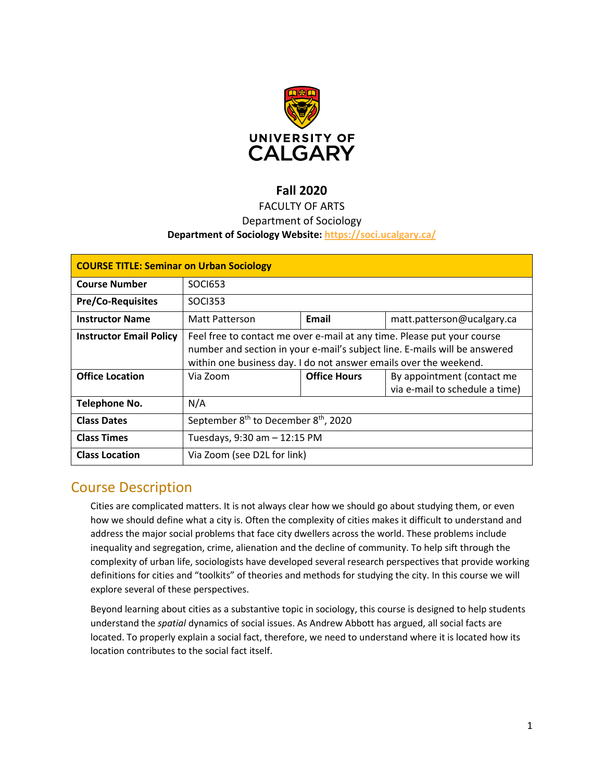

# **Fall 2020**

# FACULTY OF ARTS

# Department of Sociology

### **Department of Sociology Website:<https://soci.ucalgary.ca/>**

| <b>COURSE TITLE: Seminar on Urban Sociology</b> |                                                                                                                                                                                                                            |                     |                                                              |  |  |
|-------------------------------------------------|----------------------------------------------------------------------------------------------------------------------------------------------------------------------------------------------------------------------------|---------------------|--------------------------------------------------------------|--|--|
| <b>Course Number</b>                            | <b>SOCI653</b>                                                                                                                                                                                                             |                     |                                                              |  |  |
| <b>Pre/Co-Requisites</b>                        | <b>SOCI353</b>                                                                                                                                                                                                             |                     |                                                              |  |  |
| <b>Instructor Name</b>                          | Matt Patterson                                                                                                                                                                                                             | Email               | matt.patterson@ucalgary.ca                                   |  |  |
| <b>Instructor Email Policy</b>                  | Feel free to contact me over e-mail at any time. Please put your course<br>number and section in your e-mail's subject line. E-mails will be answered<br>within one business day. I do not answer emails over the weekend. |                     |                                                              |  |  |
| <b>Office Location</b>                          | Via Zoom                                                                                                                                                                                                                   | <b>Office Hours</b> | By appointment (contact me<br>via e-mail to schedule a time) |  |  |
| Telephone No.                                   | N/A                                                                                                                                                                                                                        |                     |                                                              |  |  |
| <b>Class Dates</b>                              | September 8 <sup>th</sup> to December 8 <sup>th</sup> , 2020                                                                                                                                                               |                     |                                                              |  |  |
| <b>Class Times</b>                              | Tuesdays, 9:30 am - 12:15 PM                                                                                                                                                                                               |                     |                                                              |  |  |
| <b>Class Location</b>                           | Via Zoom (see D2L for link)                                                                                                                                                                                                |                     |                                                              |  |  |

# Course Description

Cities are complicated matters. It is not always clear how we should go about studying them, or even how we should define what a city is. Often the complexity of cities makes it difficult to understand and address the major social problems that face city dwellers across the world. These problems include inequality and segregation, crime, alienation and the decline of community. To help sift through the complexity of urban life, sociologists have developed several research perspectives that provide working definitions for cities and "toolkits" of theories and methods for studying the city. In this course we will explore several of these perspectives.

Beyond learning about cities as a substantive topic in sociology, this course is designed to help students understand the *spatial* dynamics of social issues. As Andrew Abbott has argued, all social facts are located. To properly explain a social fact, therefore, we need to understand where it is located how its location contributes to the social fact itself.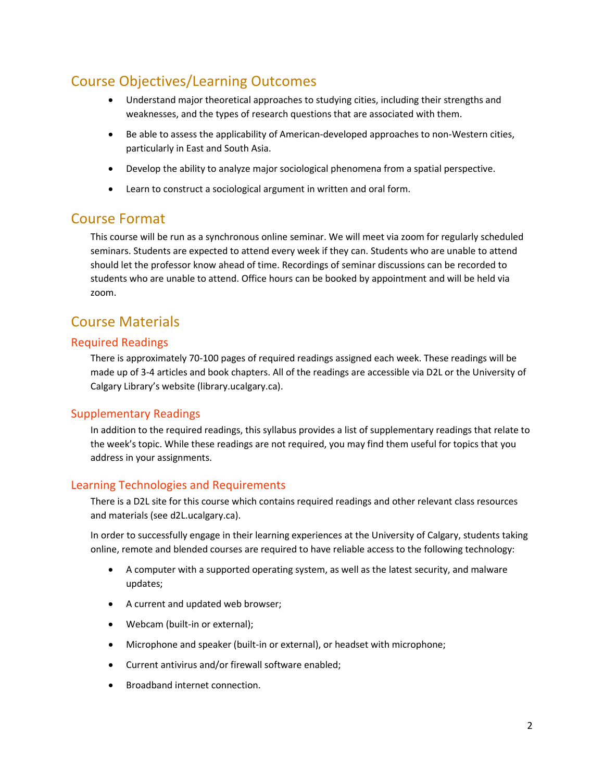# Course Objectives/Learning Outcomes

- Understand major theoretical approaches to studying cities, including their strengths and weaknesses, and the types of research questions that are associated with them.
- Be able to assess the applicability of American-developed approaches to non-Western cities, particularly in East and South Asia.
- Develop the ability to analyze major sociological phenomena from a spatial perspective.
- Learn to construct a sociological argument in written and oral form.

# Course Format

This course will be run as a synchronous online seminar. We will meet via zoom for regularly scheduled seminars. Students are expected to attend every week if they can. Students who are unable to attend should let the professor know ahead of time. Recordings of seminar discussions can be recorded to students who are unable to attend. Office hours can be booked by appointment and will be held via zoom.

# Course Materials

# Required Readings

There is approximately 70-100 pages of required readings assigned each week. These readings will be made up of 3-4 articles and book chapters. All of the readings are accessible via D2L or the University of Calgary Library's website (library.ucalgary.ca).

# Supplementary Readings

In addition to the required readings, this syllabus provides a list of supplementary readings that relate to the week's topic. While these readings are not required, you may find them useful for topics that you address in your assignments.

# Learning Technologies and Requirements

There is a D2L site for this course which contains required readings and other relevant class resources and materials (see d2L.ucalgary.ca).

In order to successfully engage in their learning experiences at the University of Calgary, students taking online, remote and blended courses are required to have reliable access to the following technology:

- A computer with a supported operating system, as well as the latest security, and malware updates;
- A current and updated web browser;
- Webcam (built-in or external);
- Microphone and speaker (built-in or external), or headset with microphone;
- Current antivirus and/or firewall software enabled;
- Broadband internet connection.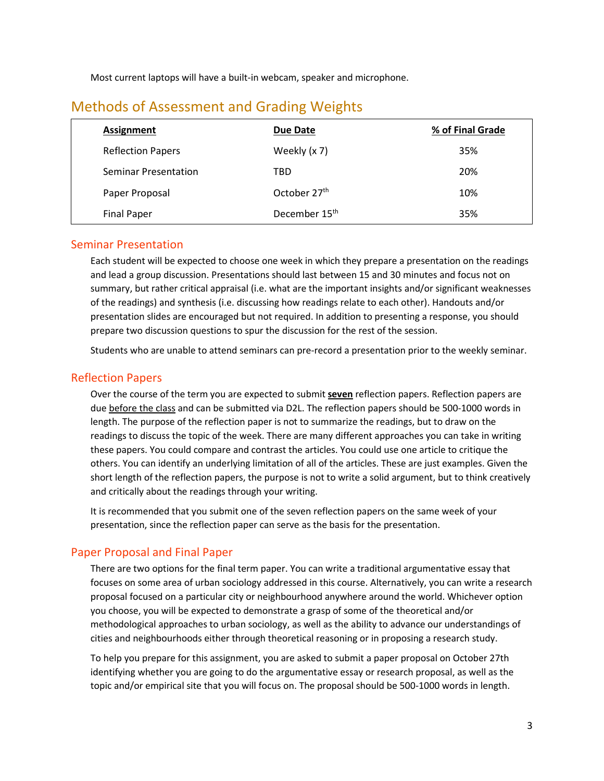Most current laptops will have a built-in webcam, speaker and microphone.

| Assignment<br>Due Date                          | % of Final Grade |
|-------------------------------------------------|------------------|
| Weekly (x 7)<br><b>Reflection Papers</b>        | 35%              |
| <b>Seminar Presentation</b><br>TBD              | 20%              |
| October 27th<br>Paper Proposal                  | 10%              |
| December 15 <sup>th</sup><br><b>Final Paper</b> | 35%              |

# Methods of Assessment and Grading Weights

## Seminar Presentation

Each student will be expected to choose one week in which they prepare a presentation on the readings and lead a group discussion. Presentations should last between 15 and 30 minutes and focus not on summary, but rather critical appraisal (i.e. what are the important insights and/or significant weaknesses of the readings) and synthesis (i.e. discussing how readings relate to each other). Handouts and/or presentation slides are encouraged but not required. In addition to presenting a response, you should prepare two discussion questions to spur the discussion for the rest of the session.

Students who are unable to attend seminars can pre-record a presentation prior to the weekly seminar.

# Reflection Papers

Over the course of the term you are expected to submit **seven** reflection papers. Reflection papers are due before the class and can be submitted via D2L. The reflection papers should be 500-1000 words in length. The purpose of the reflection paper is not to summarize the readings, but to draw on the readings to discuss the topic of the week. There are many different approaches you can take in writing these papers. You could compare and contrast the articles. You could use one article to critique the others. You can identify an underlying limitation of all of the articles. These are just examples. Given the short length of the reflection papers, the purpose is not to write a solid argument, but to think creatively and critically about the readings through your writing.

It is recommended that you submit one of the seven reflection papers on the same week of your presentation, since the reflection paper can serve as the basis for the presentation.

# Paper Proposal and Final Paper

There are two options for the final term paper. You can write a traditional argumentative essay that focuses on some area of urban sociology addressed in this course. Alternatively, you can write a research proposal focused on a particular city or neighbourhood anywhere around the world. Whichever option you choose, you will be expected to demonstrate a grasp of some of the theoretical and/or methodological approaches to urban sociology, as well as the ability to advance our understandings of cities and neighbourhoods either through theoretical reasoning or in proposing a research study.

To help you prepare for this assignment, you are asked to submit a paper proposal on October 27th identifying whether you are going to do the argumentative essay or research proposal, as well as the topic and/or empirical site that you will focus on. The proposal should be 500-1000 words in length.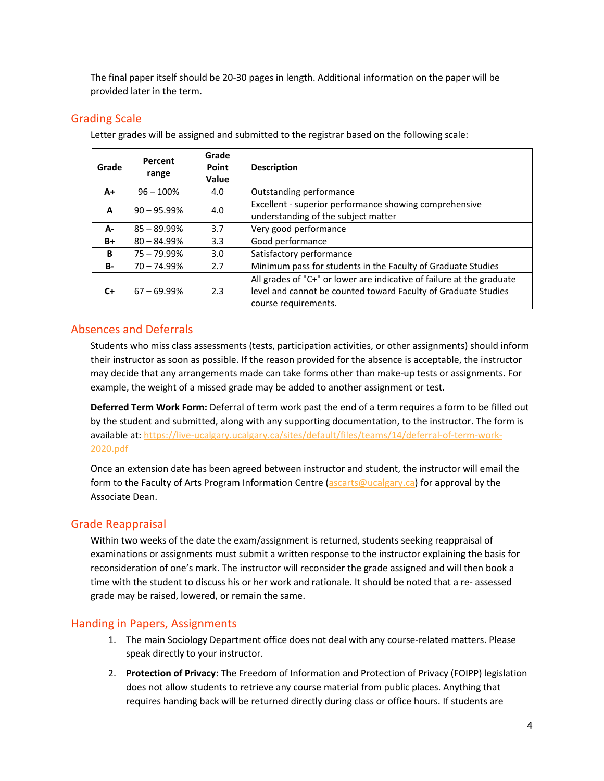The final paper itself should be 20-30 pages in length. Additional information on the paper will be provided later in the term.

# Grading Scale

Letter grades will be assigned and submitted to the registrar based on the following scale:

| Grade     | Percent<br>range | Grade<br>Point<br>Value | <b>Description</b>                                                                                                                                              |  |
|-----------|------------------|-------------------------|-----------------------------------------------------------------------------------------------------------------------------------------------------------------|--|
| $A+$      | $96 - 100%$      | 4.0                     | Outstanding performance                                                                                                                                         |  |
| A         | $90 - 95.99\%$   | 4.0                     | Excellent - superior performance showing comprehensive<br>understanding of the subject matter                                                                   |  |
| А-        | $85 - 89.99\%$   | 3.7                     | Very good performance                                                                                                                                           |  |
| B+        | $80 - 84.99%$    | 3.3                     | Good performance                                                                                                                                                |  |
| B         | $75 - 79.99\%$   | 3.0                     | Satisfactory performance                                                                                                                                        |  |
| <b>B-</b> | $70 - 74.99%$    | 2.7                     | Minimum pass for students in the Faculty of Graduate Studies                                                                                                    |  |
| $C+$      | $67 - 69.99\%$   | 2.3                     | All grades of "C+" or lower are indicative of failure at the graduate<br>level and cannot be counted toward Faculty of Graduate Studies<br>course requirements. |  |

# Absences and Deferrals

Students who miss class assessments (tests, participation activities, or other assignments) should inform their instructor as soon as possible. If the reason provided for the absence is acceptable, the instructor may decide that any arrangements made can take forms other than make-up tests or assignments. For example, the weight of a missed grade may be added to another assignment or test.

**Deferred Term Work Form:** Deferral of term work past the end of a term requires a form to be filled out by the student and submitted, along with any supporting documentation, to the instructor. The form is available at: [https://live-ucalgary.ucalgary.ca/sites/default/files/teams/14/deferral-of-term-work-](https://live-ucalgary.ucalgary.ca/sites/default/files/teams/14/deferral-of-term-work-2020.pdf)[2020.pdf](https://live-ucalgary.ucalgary.ca/sites/default/files/teams/14/deferral-of-term-work-2020.pdf)

Once an extension date has been agreed between instructor and student, the instructor will email the form to the Faculty of Arts Program Information Centre [\(ascarts@ucalgary.ca\)](mailto:ascarts@ucalgary.ca) for approval by the Associate Dean.

# Grade Reappraisal

Within two weeks of the date the exam/assignment is returned, students seeking reappraisal of examinations or assignments must submit a written response to the instructor explaining the basis for reconsideration of one's mark. The instructor will reconsider the grade assigned and will then book a time with the student to discuss his or her work and rationale. It should be noted that a re- assessed grade may be raised, lowered, or remain the same.

# Handing in Papers, Assignments

- 1. The main Sociology Department office does not deal with any course-related matters. Please speak directly to your instructor.
- 2. **Protection of Privacy:** The Freedom of Information and Protection of Privacy (FOIPP) legislation does not allow students to retrieve any course material from public places. Anything that requires handing back will be returned directly during class or office hours. If students are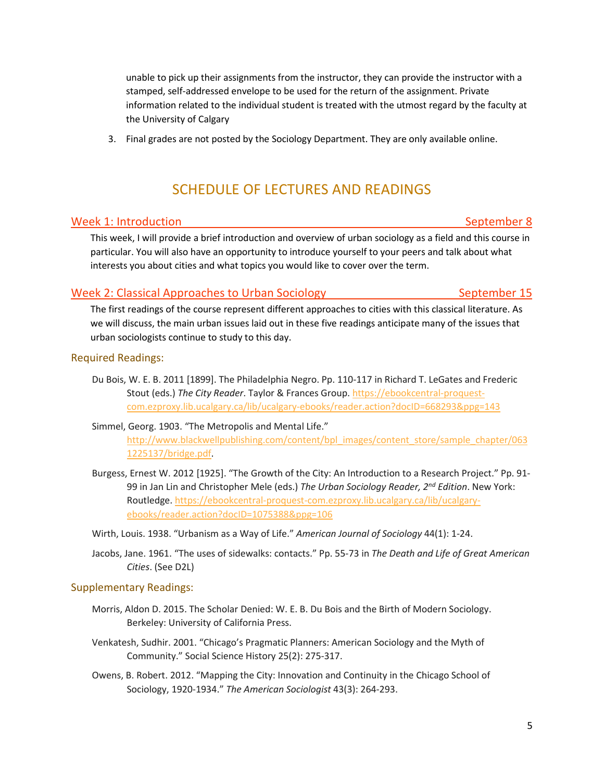unable to pick up their assignments from the instructor, they can provide the instructor with a stamped, self-addressed envelope to be used for the return of the assignment. Private information related to the individual student is treated with the utmost regard by the faculty at the University of Calgary

3. Final grades are not posted by the Sociology Department. They are only available online.

# SCHEDULE OF LECTURES AND READINGS

# Week 1: Introduction National September 8

This week, I will provide a brief introduction and overview of urban sociology as a field and this course in particular. You will also have an opportunity to introduce yourself to your peers and talk about what interests you about cities and what topics you would like to cover over the term.

# Week 2: Classical Approaches to Urban Sociology The September 15

The first readings of the course represent different approaches to cities with this classical literature. As we will discuss, the main urban issues laid out in these five readings anticipate many of the issues that urban sociologists continue to study to this day.

### Required Readings:

Du Bois, W. E. B. 2011 [1899]. The Philadelphia Negro. Pp. 110-117 in Richard T. LeGates and Frederic Stout (eds.) *The City Reader*. Taylor & Frances Group. [https://ebookcentral-proquest](https://ebookcentral-proquest-com.ezproxy.lib.ucalgary.ca/lib/ucalgary-ebooks/reader.action?docID=668293&ppg=143)[com.ezproxy.lib.ucalgary.ca/lib/ucalgary-ebooks/reader.action?docID=668293&ppg=143](https://ebookcentral-proquest-com.ezproxy.lib.ucalgary.ca/lib/ucalgary-ebooks/reader.action?docID=668293&ppg=143)

# Simmel, Georg. 1903. "The Metropolis and Mental Life." [http://www.blackwellpublishing.com/content/bpl\\_images/content\\_store/sample\\_chapter/063](http://www.blackwellpublishing.com/content/bpl_images/content_store/sample_chapter/0631225137/bridge.pdf) [1225137/bridge.pdf.](http://www.blackwellpublishing.com/content/bpl_images/content_store/sample_chapter/0631225137/bridge.pdf)

- Burgess, Ernest W. 2012 [1925]. "The Growth of the City: An Introduction to a Research Project." Pp. 91- 99 in Jan Lin and Christopher Mele (eds.) *The Urban Sociology Reader, 2nd Edition*. New York: Routledge. [https://ebookcentral-proquest-com.ezproxy.lib.ucalgary.ca/lib/ucalgary](https://ebookcentral-proquest-com.ezproxy.lib.ucalgary.ca/lib/ucalgary-ebooks/reader.action?docID=1075388&ppg=106)[ebooks/reader.action?docID=1075388&ppg=106](https://ebookcentral-proquest-com.ezproxy.lib.ucalgary.ca/lib/ucalgary-ebooks/reader.action?docID=1075388&ppg=106)
- Wirth, Louis. 1938. "Urbanism as a Way of Life." *American Journal of Sociology* 44(1): 1-24.
- Jacobs, Jane. 1961. "The uses of sidewalks: contacts." Pp. 55-73 in *The Death and Life of Great American Cities*. (See D2L)

#### Supplementary Readings:

- Morris, Aldon D. 2015. The Scholar Denied: W. E. B. Du Bois and the Birth of Modern Sociology. Berkeley: University of California Press.
- Venkatesh, Sudhir. 2001. "Chicago's Pragmatic Planners: American Sociology and the Myth of Community." Social Science History 25(2): 275-317.
- Owens, B. Robert. 2012. "Mapping the City: Innovation and Continuity in the Chicago School of Sociology, 1920-1934." *The American Sociologist* 43(3): 264-293.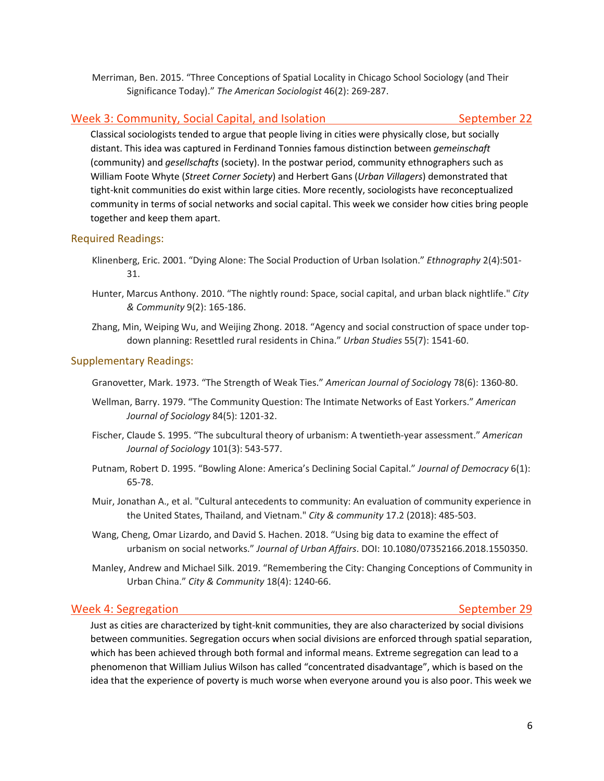Merriman, Ben. 2015. "Three Conceptions of Spatial Locality in Chicago School Sociology (and Their Significance Today)." *The American Sociologist* 46(2): 269-287.

# Week 3: Community, Social Capital, and Isolation September 22 September 22

Classical sociologists tended to argue that people living in cities were physically close, but socially distant. This idea was captured in Ferdinand Tonnies famous distinction between *gemeinschaft* (community) and *gesellschafts* (society). In the postwar period, community ethnographers such as William Foote Whyte (*Street Corner Society*) and Herbert Gans (*Urban Villagers*) demonstrated that tight-knit communities do exist within large cities. More recently, sociologists have reconceptualized community in terms of social networks and social capital. This week we consider how cities bring people together and keep them apart.

# Required Readings:

- Klinenberg, Eric. 2001. "Dying Alone: The Social Production of Urban Isolation." *Ethnography* 2(4):501- 31.
- Hunter, Marcus Anthony. 2010. "The nightly round: Space, social capital, and urban black nightlife." *City & Community* 9(2): 165-186.
- Zhang, Min, Weiping Wu, and Weijing Zhong. 2018. "Agency and social construction of space under topdown planning: Resettled rural residents in China." *Urban Studies* 55(7): 1541-60.

# Supplementary Readings:

Granovetter, Mark. 1973. "The Strength of Weak Ties." *American Journal of Sociolog*y 78(6): 1360-80.

- Wellman, Barry. 1979. "The Community Question: The Intimate Networks of East Yorkers." *American Journal of Sociology* 84(5): 1201-32.
- Fischer, Claude S. 1995. "The subcultural theory of urbanism: A twentieth-year assessment." *American Journal of Sociology* 101(3): 543-577.
- Putnam, Robert D. 1995. "Bowling Alone: America's Declining Social Capital." *Journal of Democracy* 6(1): 65-78.
- Muir, Jonathan A., et al. "Cultural antecedents to community: An evaluation of community experience in the United States, Thailand, and Vietnam." *City & community* 17.2 (2018): 485-503.
- Wang, Cheng, Omar Lizardo, and David S. Hachen. 2018. "Using big data to examine the effect of urbanism on social networks." *Journal of Urban Affairs*. DOI: 10.1080/07352166.2018.1550350.
- Manley, Andrew and Michael Silk. 2019. "Remembering the City: Changing Conceptions of Community in Urban China." *City & Community* 18(4): 1240-66.

### Week 4: Segregation September 29

Just as cities are characterized by tight-knit communities, they are also characterized by social divisions between communities. Segregation occurs when social divisions are enforced through spatial separation, which has been achieved through both formal and informal means. Extreme segregation can lead to a phenomenon that William Julius Wilson has called "concentrated disadvantage", which is based on the idea that the experience of poverty is much worse when everyone around you is also poor. This week we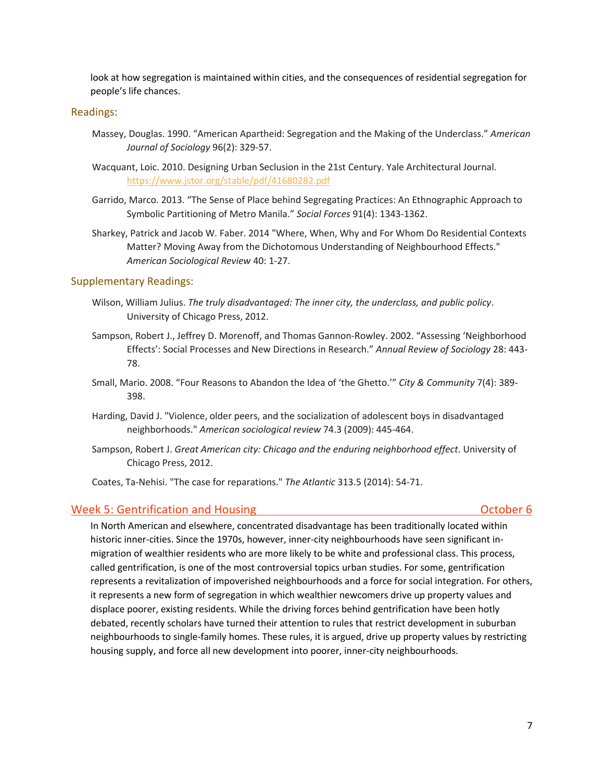look at how segregation is maintained within cities, and the consequences of residential segregation for people's life chances.

#### Readings:

- Massey, Douglas. 1990. "American Apartheid: Segregation and the Making of the Underclass." *American Journal of Sociology* 96(2): 329-57.
- Wacquant, Loic. 2010. Designing Urban Seclusion in the 21st Century. Yale Architectural Journal. <https://www.jstor.org/stable/pdf/41680282.pdf>
- Garrido, Marco. 2013. "The Sense of Place behind Segregating Practices: An Ethnographic Approach to Symbolic Partitioning of Metro Manila." *Social Forces* 91(4): 1343-1362.
- Sharkey, Patrick and Jacob W. Faber. 2014 "Where, When, Why and For Whom Do Residential Contexts Matter? Moving Away from the Dichotomous Understanding of Neighbourhood Effects." *American Sociological Review* 40: 1-27.

#### Supplementary Readings:

- Wilson, William Julius. *The truly disadvantaged: The inner city, the underclass, and public policy*. University of Chicago Press, 2012.
- Sampson, Robert J., Jeffrey D. Morenoff, and Thomas Gannon-Rowley. 2002. "Assessing 'Neighborhood Effects': Social Processes and New Directions in Research." *Annual Review of Sociology* 28: 443- 78.
- Small, Mario. 2008. "Four Reasons to Abandon the Idea of 'the Ghetto.'" *City & Community* 7(4): 389- 398.
- Harding, David J. "Violence, older peers, and the socialization of adolescent boys in disadvantaged neighborhoods." *American sociological review* 74.3 (2009): 445-464.
- Sampson, Robert J. *Great American city: Chicago and the enduring neighborhood effect*. University of Chicago Press, 2012.

Coates, Ta-Nehisi. "The case for reparations." *The Atlantic* 313.5 (2014): 54-71.

#### Week 5: Gentrification and Housing Communication and Housing Communication of the Communication of the Communication of the Communication of the Communication of the Communication of the Communication of the Communication

In North American and elsewhere, concentrated disadvantage has been traditionally located within historic inner-cities. Since the 1970s, however, inner-city neighbourhoods have seen significant inmigration of wealthier residents who are more likely to be white and professional class. This process, called gentrification, is one of the most controversial topics urban studies. For some, gentrification represents a revitalization of impoverished neighbourhoods and a force for social integration. For others, it represents a new form of segregation in which wealthier newcomers drive up property values and displace poorer, existing residents. While the driving forces behind gentrification have been hotly debated, recently scholars have turned their attention to rules that restrict development in suburban neighbourhoods to single-family homes. These rules, it is argued, drive up property values by restricting housing supply, and force all new development into poorer, inner-city neighbourhoods.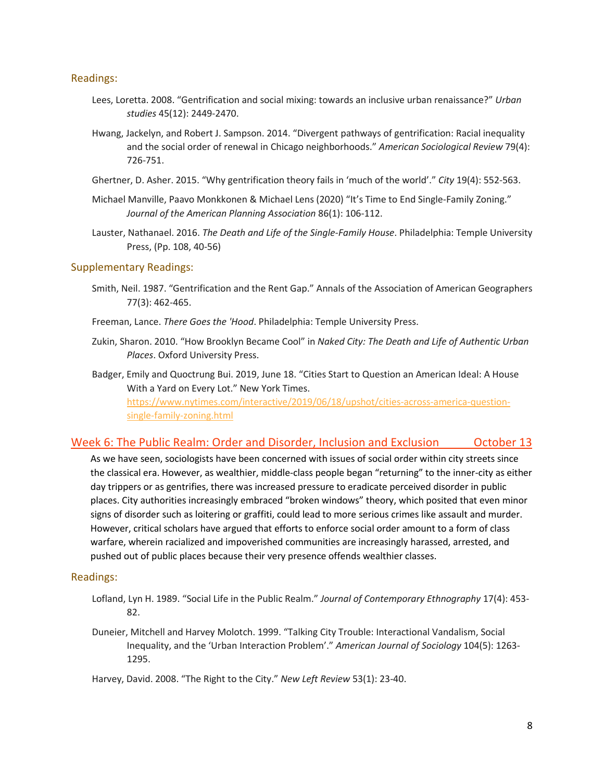### Readings:

- Lees, Loretta. 2008. "Gentrification and social mixing: towards an inclusive urban renaissance?" *Urban studies* 45(12): 2449-2470.
- Hwang, Jackelyn, and Robert J. Sampson. 2014. "Divergent pathways of gentrification: Racial inequality and the social order of renewal in Chicago neighborhoods." *American Sociological Review* 79(4): 726-751.
- Ghertner, D. Asher. 2015. "Why gentrification theory fails in 'much of the world'." *City* 19(4): 552-563.
- Michael Manville, Paavo Monkkonen & Michael Lens (2020) "It's Time to End Single-Family Zoning." *Journal of the American Planning Association* 86(1): 106-112.
- Lauster, Nathanael. 2016. *The Death and Life of the Single-Family House*. Philadelphia: Temple University Press, (Pp. 108, 40-56)

#### Supplementary Readings:

Smith, Neil. 1987. "Gentrification and the Rent Gap." Annals of the Association of American Geographers 77(3): 462-465.

Freeman, Lance. *There Goes the 'Hood*. Philadelphia: Temple University Press.

- Zukin, Sharon. 2010. "How Brooklyn Became Cool" in *Naked City: The Death and Life of Authentic Urban Places*. Oxford University Press.
- Badger, Emily and Quoctrung Bui. 2019, June 18. "Cities Start to Question an American Ideal: A House With a Yard on Every Lot." New York Times. [https://www.nytimes.com/interactive/2019/06/18/upshot/cities-across-america-question](https://www.nytimes.com/interactive/2019/06/18/upshot/cities-across-america-question-single-family-zoning.html)[single-family-zoning.html](https://www.nytimes.com/interactive/2019/06/18/upshot/cities-across-america-question-single-family-zoning.html)

# Week 6: The Public Realm: Order and Disorder, Inclusion and Exclusion Cortober 13

As we have seen, sociologists have been concerned with issues of social order within city streets since the classical era. However, as wealthier, middle-class people began "returning" to the inner-city as either day trippers or as gentrifies, there was increased pressure to eradicate perceived disorder in public places. City authorities increasingly embraced "broken windows" theory, which posited that even minor signs of disorder such as loitering or graffiti, could lead to more serious crimes like assault and murder. However, critical scholars have argued that efforts to enforce social order amount to a form of class warfare, wherein racialized and impoverished communities are increasingly harassed, arrested, and pushed out of public places because their very presence offends wealthier classes.

#### Readings:

- Lofland, Lyn H. 1989. "Social Life in the Public Realm." *Journal of Contemporary Ethnography* 17(4): 453- 82.
- Duneier, Mitchell and Harvey Molotch. 1999. "Talking City Trouble: Interactional Vandalism, Social Inequality, and the 'Urban Interaction Problem'." *American Journal of Sociology* 104(5): 1263- 1295.
- Harvey, David. 2008. "The Right to the City." *New Left Review* 53(1): 23-40.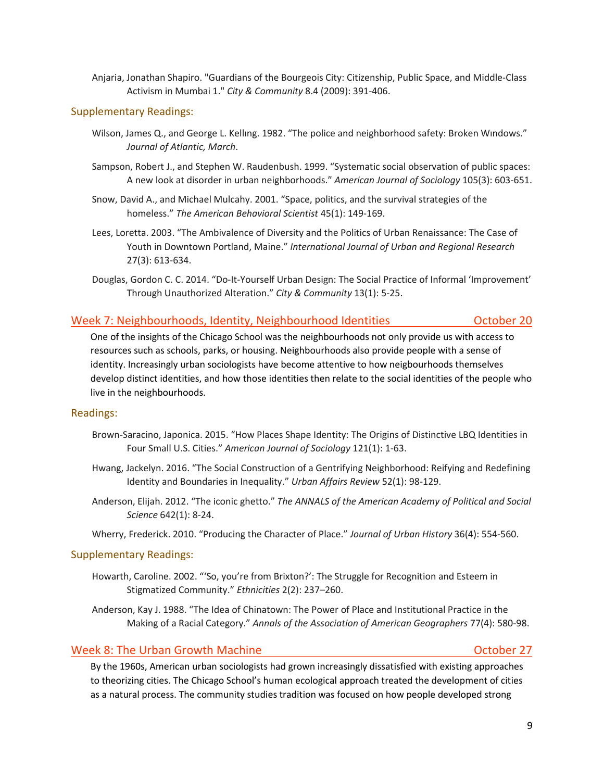Anjaria, Jonathan Shapiro. "Guardians of the Bourgeois City: Citizenship, Public Space, and Middle-Class Activism in Mumbai 1." *City & Community* 8.4 (2009): 391-406.

### Supplementary Readings:

- Wilson, James Q., and George L. Kellıng. 1982. "The police and neighborhood safety: Broken Wındows." *Journal of Atlantic, March*.
- Sampson, Robert J., and Stephen W. Raudenbush. 1999. "Systematic social observation of public spaces: A new look at disorder in urban neighborhoods." *American Journal of Sociology* 105(3): 603-651.
- Snow, David A., and Michael Mulcahy. 2001. "Space, politics, and the survival strategies of the homeless." *The American Behavioral Scientist* 45(1): 149-169.
- Lees, Loretta. 2003. "The Ambivalence of Diversity and the Politics of Urban Renaissance: The Case of Youth in Downtown Portland, Maine." *International Journal of Urban and Regional Research* 27(3): 613-634.
- Douglas, Gordon C. C. 2014. "Do-It-Yourself Urban Design: The Social Practice of Informal 'Improvement' Through Unauthorized Alteration." *City & Community* 13(1): 5-25.

# Week 7: Neighbourhoods, Identity, Neighbourhood Identities **Concentration Concentration** October 20

One of the insights of the Chicago School was the neighbourhoods not only provide us with access to resources such as schools, parks, or housing. Neighbourhoods also provide people with a sense of identity. Increasingly urban sociologists have become attentive to how neigbourhoods themselves develop distinct identities, and how those identities then relate to the social identities of the people who live in the neighbourhoods.

### Readings:

- Brown-Saracino, Japonica. 2015. "How Places Shape Identity: The Origins of Distinctive LBQ Identities in Four Small U.S. Cities." *American Journal of Sociology* 121(1): 1-63.
- Hwang, Jackelyn. 2016. "The Social Construction of a Gentrifying Neighborhood: Reifying and Redefining Identity and Boundaries in Inequality." *Urban Affairs Review* 52(1): 98-129.
- Anderson, Elijah. 2012. "The iconic ghetto." *The ANNALS of the American Academy of Political and Social Science* 642(1): 8-24.
- Wherry, Frederick. 2010. "Producing the Character of Place." *Journal of Urban History* 36(4): 554-560.

### Supplementary Readings:

- Howarth, Caroline. 2002. "'So, you're from Brixton?': The Struggle for Recognition and Esteem in Stigmatized Community." *Ethnicities* 2(2): 237–260.
- Anderson, Kay J. 1988. "The Idea of Chinatown: The Power of Place and Institutional Practice in the Making of a Racial Category." *Annals of the Association of American Geographers* 77(4): 580-98.

# Week 8: The Urban Growth Machine Contract Contract Contract Contract October 27

By the 1960s, American urban sociologists had grown increasingly dissatisfied with existing approaches to theorizing cities. The Chicago School's human ecological approach treated the development of cities as a natural process. The community studies tradition was focused on how people developed strong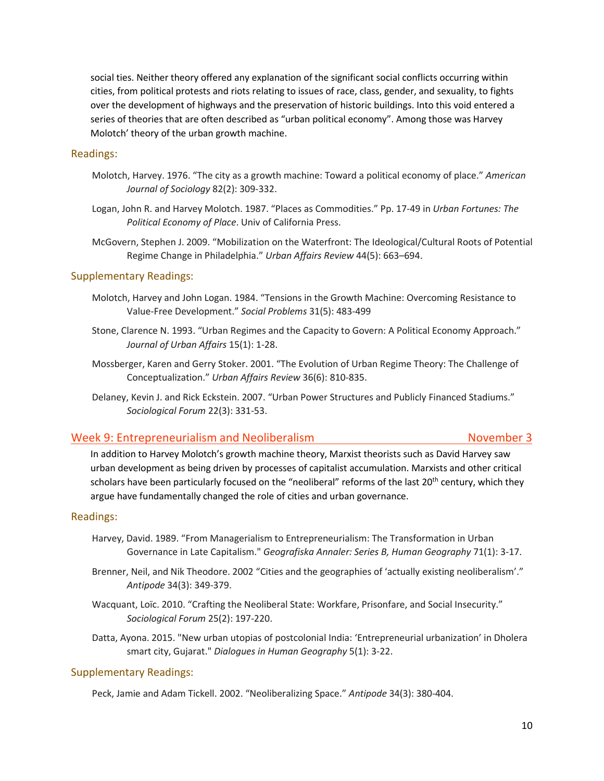social ties. Neither theory offered any explanation of the significant social conflicts occurring within cities, from political protests and riots relating to issues of race, class, gender, and sexuality, to fights over the development of highways and the preservation of historic buildings. Into this void entered a series of theories that are often described as "urban political economy". Among those was Harvey Molotch' theory of the urban growth machine.

#### Readings:

- Molotch, Harvey. 1976. "The city as a growth machine: Toward a political economy of place." *American Journal of Sociology* 82(2): 309-332.
- Logan, John R. and Harvey Molotch. 1987. "Places as Commodities." Pp. 17-49 in *Urban Fortunes: The Political Economy of Place*. Univ of California Press.
- McGovern, Stephen J. 2009. "Mobilization on the Waterfront: The Ideological/Cultural Roots of Potential Regime Change in Philadelphia." *Urban Affairs Review* 44(5): 663–694.

#### Supplementary Readings:

- Molotch, Harvey and John Logan. 1984. "Tensions in the Growth Machine: Overcoming Resistance to Value-Free Development." *Social Problems* 31(5): 483-499
- Stone, Clarence N. 1993. "Urban Regimes and the Capacity to Govern: A Political Economy Approach." *Journal of Urban Affairs* 15(1): 1-28.
- Mossberger, Karen and Gerry Stoker. 2001. "The Evolution of Urban Regime Theory: The Challenge of Conceptualization." *Urban Affairs Review* 36(6): 810-835.
- Delaney, Kevin J. and Rick Eckstein. 2007. "Urban Power Structures and Publicly Financed Stadiums." *Sociological Forum* 22(3): 331-53.

#### Week 9: Entrepreneurialism and Neoliberalism November 3

In addition to Harvey Molotch's growth machine theory, Marxist theorists such as David Harvey saw urban development as being driven by processes of capitalist accumulation. Marxists and other critical scholars have been particularly focused on the "neoliberal" reforms of the last  $20<sup>th</sup>$  century, which they argue have fundamentally changed the role of cities and urban governance.

#### Readings:

- Harvey, David. 1989. "From Managerialism to Entrepreneurialism: The Transformation in Urban Governance in Late Capitalism." *Geografiska Annaler: Series B, Human Geography* 71(1): 3-17.
- Brenner, Neil, and Nik Theodore. 2002 "Cities and the geographies of 'actually existing neoliberalism'." *Antipode* 34(3): 349-379.
- Wacquant, Loïc. 2010. "Crafting the Neoliberal State: Workfare, Prisonfare, and Social Insecurity." *Sociological Forum* 25(2): 197-220.
- Datta, Ayona. 2015. "New urban utopias of postcolonial India: 'Entrepreneurial urbanization' in Dholera smart city, Gujarat." *Dialogues in Human Geography* 5(1): 3-22.

#### Supplementary Readings:

Peck, Jamie and Adam Tickell. 2002. "Neoliberalizing Space." *Antipode* 34(3): 380-404.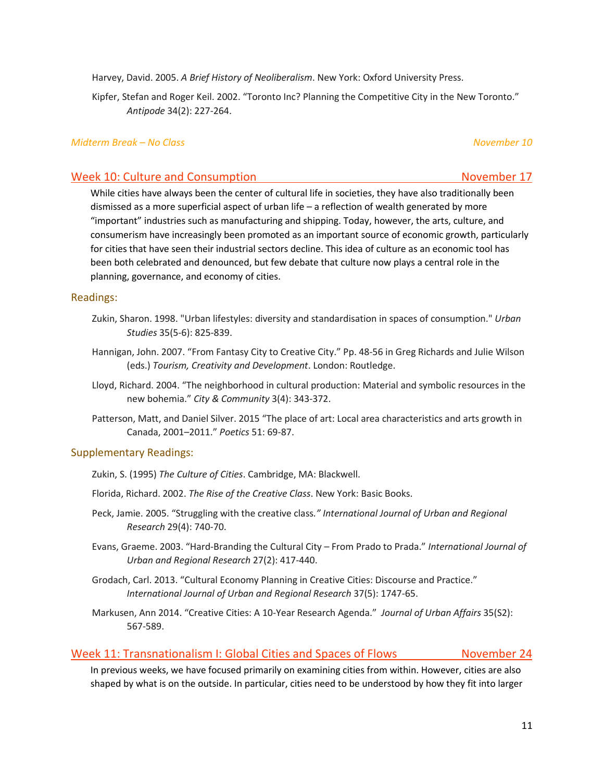Harvey, David. 2005. *A Brief History of Neoliberalism*. New York: Oxford University Press.

Kipfer, Stefan and Roger Keil. 2002. "Toronto Inc? Planning the Competitive City in the New Toronto." *Antipode* 34(2): 227-264.

#### *Midterm Break – No Class November 10*

# Week 10: Culture and Consumption November 17

While cities have always been the center of cultural life in societies, they have also traditionally been dismissed as a more superficial aspect of urban life – a reflection of wealth generated by more "important" industries such as manufacturing and shipping. Today, however, the arts, culture, and consumerism have increasingly been promoted as an important source of economic growth, particularly for cities that have seen their industrial sectors decline. This idea of culture as an economic tool has been both celebrated and denounced, but few debate that culture now plays a central role in the planning, governance, and economy of cities.

#### Readings:

- Zukin, Sharon. 1998. "Urban lifestyles: diversity and standardisation in spaces of consumption." *Urban Studies* 35(5-6): 825-839.
- Hannigan, John. 2007. "From Fantasy City to Creative City." Pp. 48-56 in Greg Richards and Julie Wilson (eds.) *Tourism, Creativity and Development*. London: Routledge.
- Lloyd, Richard. 2004. "The neighborhood in cultural production: Material and symbolic resources in the new bohemia." *City & Community* 3(4): 343-372.
- Patterson, Matt, and Daniel Silver. 2015 "The place of art: Local area characteristics and arts growth in Canada, 2001–2011." *Poetics* 51: 69-87.

### Supplementary Readings:

- Zukin, S. (1995) *The Culture of Cities*. Cambridge, MA: Blackwell.
- Florida, Richard. 2002. *The Rise of the Creative Class*. New York: Basic Books.
- Peck, Jamie. 2005. "Struggling with the creative class*." International Journal of Urban and Regional Research* 29(4): 740-70.
- Evans, Graeme. 2003. "Hard-Branding the Cultural City From Prado to Prada." *International Journal of Urban and Regional Research* 27(2): 417-440.
- Grodach, Carl. 2013. "Cultural Economy Planning in Creative Cities: Discourse and Practice." *International Journal of Urban and Regional Research* 37(5): 1747-65.
- Markusen, Ann 2014. "Creative Cities: A 10-Year Research Agenda." *Journal of Urban Affairs* 35(S2): 567-589.

# Week 11: Transnationalism I: Global Cities and Spaces of Flows November 24

In previous weeks, we have focused primarily on examining cities from within. However, cities are also shaped by what is on the outside. In particular, cities need to be understood by how they fit into larger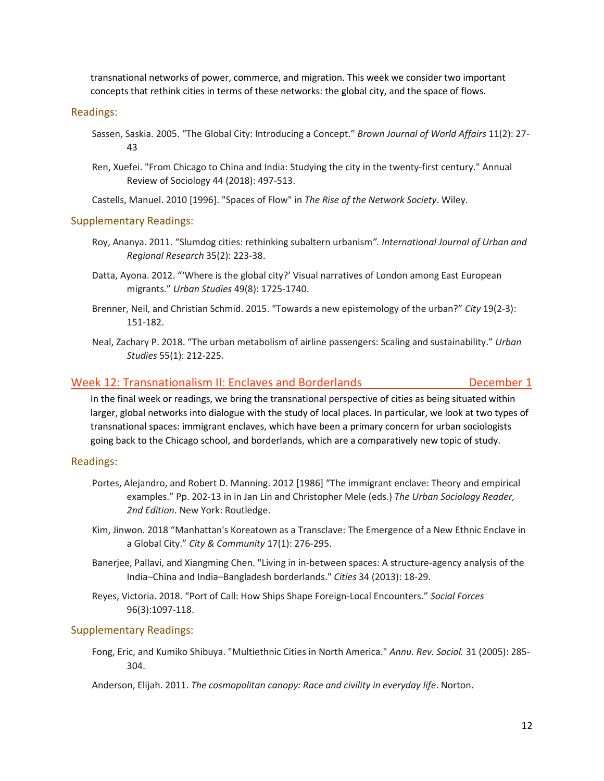transnational networks of power, commerce, and migration. This week we consider two important concepts that rethink cities in terms of these networks: the global city, and the space of flows.

#### Readings:

- Sassen, Saskia. 2005. "The Global City: Introducing a Concept." *Brown Journal of World Affairs* 11(2): 27- 43
- Ren, Xuefei. "From Chicago to China and India: Studying the city in the twenty-first century." Annual Review of Sociology 44 (2018): 497-513.

Castells, Manuel. 2010 [1996]. "Spaces of Flow" in *The Rise of the Network Society*. Wiley.

#### Supplementary Readings:

- Roy, Ananya. 2011. "Slumdog cities: rethinking subaltern urbanism*". International Journal of Urban and Regional Research* 35(2): 223-38.
- Datta, Ayona. 2012. "'Where is the global city?' Visual narratives of London among East European migrants." *Urban Studies* 49(8): 1725-1740.
- Brenner, Neil, and Christian Schmid. 2015. "Towards a new epistemology of the urban?" *City* 19(2-3): 151-182.
- Neal, Zachary P. 2018. "The urban metabolism of airline passengers: Scaling and sustainability." *Urban Studies* 55(1): 212-225.

#### Week 12: Transnationalism II: Enclaves and Borderlands Theorem 2012 December 1

In the final week or readings, we bring the transnational perspective of cities as being situated within larger, global networks into dialogue with the study of local places. In particular, we look at two types of transnational spaces: immigrant enclaves, which have been a primary concern for urban sociologists going back to the Chicago school, and borderlands, which are a comparatively new topic of study.

#### Readings:

- Portes, Alejandro, and Robert D. Manning. 2012 [1986] "The immigrant enclave: Theory and empirical examples." Pp. 202-13 in in Jan Lin and Christopher Mele (eds.) *The Urban Sociology Reader, 2nd Edition*. New York: Routledge.
- Kim, Jinwon. 2018 "Manhattan's Koreatown as a Transclave: The Emergence of a New Ethnic Enclave in a Global City." *City & Community* 17(1): 276-295.
- Banerjee, Pallavi, and Xiangming Chen. "Living in in-between spaces: A structure-agency analysis of the India–China and India–Bangladesh borderlands." *Cities* 34 (2013): 18-29.
- Reyes, Victoria. 2018. "Port of Call: How Ships Shape Foreign-Local Encounters." *Social Forces* 96(3):1097-118.

#### Supplementary Readings:

Fong, Eric, and Kumiko Shibuya. "Multiethnic Cities in North America." *Annu. Rev. Sociol.* 31 (2005): 285- 304.

Anderson, Elijah. 2011. *The cosmopolitan canopy: Race and civility in everyday life*. Norton.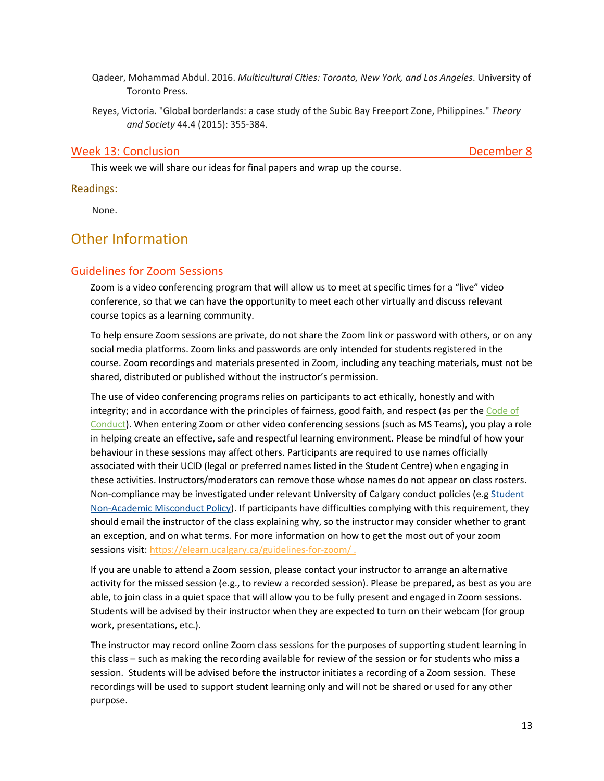- Qadeer, Mohammad Abdul. 2016. *Multicultural Cities: Toronto, New York, and Los Angeles*. University of Toronto Press.
- Reyes, Victoria. "Global borderlands: a case study of the Subic Bay Freeport Zone, Philippines." *Theory and Society* 44.4 (2015): 355-384.

#### Week 13: Conclusion **December 8**

This week we will share our ideas for final papers and wrap up the course.

Readings:

None.

# Other Information

# Guidelines for Zoom Sessions

Zoom is a video conferencing program that will allow us to meet at specific times for a "live" video conference, so that we can have the opportunity to meet each other virtually and discuss relevant course topics as a learning community.

To help ensure Zoom sessions are private, do not share the Zoom link or password with others, or on any social media platforms. Zoom links and passwords are only intended for students registered in the course. Zoom recordings and materials presented in Zoom, including any teaching materials, must not be shared, distributed or published without the instructor's permission.

The use of video conferencing programs relies on participants to act ethically, honestly and with integrity; and in accordance with the principles of fairness, good faith, and respect (as per the [Code of](https://www.ucalgary.ca/policies/files/policies/code-of-conduct.pdf)  [Conduct\)](https://www.ucalgary.ca/policies/files/policies/code-of-conduct.pdf). When entering Zoom or other video conferencing sessions (such as MS Teams), you play a role in helping create an effective, safe and respectful learning environment. Please be mindful of how your behaviour in these sessions may affect others. Participants are required to use names officially associated with their UCID (legal or preferred names listed in the Student Centre) when engaging in these activities. Instructors/moderators can remove those whose names do not appear on class rosters. Non-compliance may be investigated under relevant University of Calgary conduct policies (e.g [Student](https://ucalgary.ca/policies/files/policies/non-academic-misconduct-policy.pdf)  [Non-Academic Misconduct Policy\)](https://ucalgary.ca/policies/files/policies/non-academic-misconduct-policy.pdf). If participants have difficulties complying with this requirement, they should email the instructor of the class explaining why, so the instructor may consider whether to grant an exception, and on what terms. For more information on how to get the most out of your zoom sessions visit[: https://elearn.ucalgary.ca/guidelines-for-zoom/](https://elearn.ucalgary.ca/guidelines-for-zoom/) .

If you are unable to attend a Zoom session, please contact your instructor to arrange an alternative activity for the missed session (e.g., to review a recorded session). Please be prepared, as best as you are able, to join class in a quiet space that will allow you to be fully present and engaged in Zoom sessions. Students will be advised by their instructor when they are expected to turn on their webcam (for group work, presentations, etc.).

The instructor may record online Zoom class sessions for the purposes of supporting student learning in this class – such as making the recording available for review of the session or for students who miss a session. Students will be advised before the instructor initiates a recording of a Zoom session. These recordings will be used to support student learning only and will not be shared or used for any other purpose.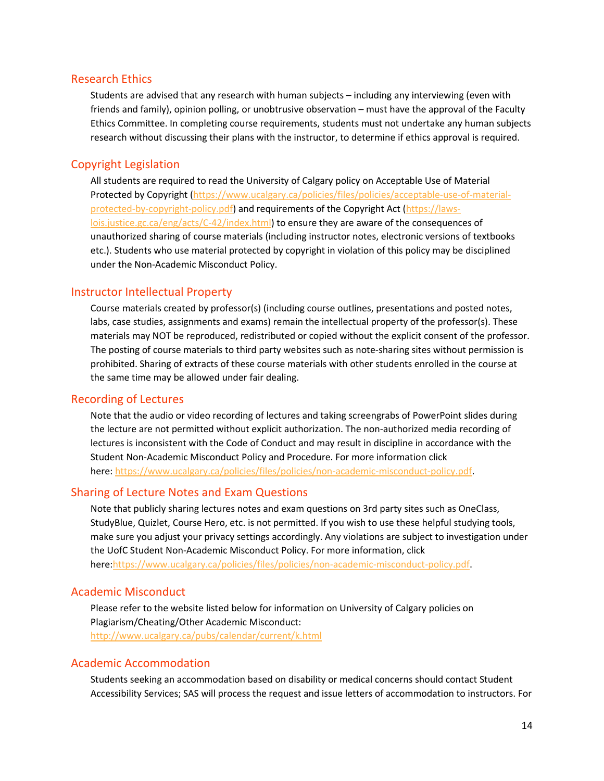#### Research Ethics

Students are advised that any research with human subjects – including any interviewing (even with friends and family), opinion polling, or unobtrusive observation – must have the approval of the Faculty Ethics Committee. In completing course requirements, students must not undertake any human subjects research without discussing their plans with the instructor, to determine if ethics approval is required.

# Copyright Legislation

All students are required to read the University of Calgary policy on Acceptable Use of Material Protected by Copyright [\(https://www.ucalgary.ca/policies/files/policies/acceptable-use-of-material](https://www.ucalgary.ca/policies/files/policies/acceptable-use-of-material-protected-by-copyright-policy.pdf)[protected-by-copyright-policy.pdf\)](https://www.ucalgary.ca/policies/files/policies/acceptable-use-of-material-protected-by-copyright-policy.pdf) and requirements of the Copyright Act [\(https://laws](https://laws-lois.justice.gc.ca/eng/acts/C-42/index.html)[lois.justice.gc.ca/eng/acts/C-42/index.html\)](https://laws-lois.justice.gc.ca/eng/acts/C-42/index.html) to ensure they are aware of the consequences of unauthorized sharing of course materials (including instructor notes, electronic versions of textbooks etc.). Students who use material protected by copyright in violation of this policy may be disciplined under the Non-Academic Misconduct Policy.

## Instructor Intellectual Property

Course materials created by professor(s) (including course outlines, presentations and posted notes, labs, case studies, assignments and exams) remain the intellectual property of the professor(s). These materials may NOT be reproduced, redistributed or copied without the explicit consent of the professor. The posting of course materials to third party websites such as note-sharing sites without permission is prohibited. Sharing of extracts of these course materials with other students enrolled in the course at the same time may be allowed under fair dealing.

#### Recording of Lectures

Note that the audio or video recording of lectures and taking screengrabs of PowerPoint slides during the lecture are not permitted without explicit authorization. The non-authorized media recording of lectures is inconsistent with the Code of Conduct and may result in discipline in accordance with the Student Non-Academic Misconduct Policy and Procedure. For more information click here: [https://www.ucalgary.ca/policies/files/policies/non-academic-misconduct-policy.pdf.](https://www.ucalgary.ca/policies/files/policies/non-academic-misconduct-policy.pdf)

#### Sharing of Lecture Notes and Exam Questions

Note that publicly sharing lectures notes and exam questions on 3rd party sites such as OneClass, StudyBlue, Quizlet, Course Hero, etc. is not permitted. If you wish to use these helpful studying tools, make sure you adjust your privacy settings accordingly. Any violations are subject to investigation under the UofC Student Non-Academic Misconduct Policy. For more information, click here[:https://www.ucalgary.ca/policies/files/policies/non-academic-misconduct-policy.pdf.](https://www.ucalgary.ca/policies/files/policies/non-academic-misconduct-policy.pdf)

### Academic Misconduct

Please refer to the website listed below for information on University of Calgary policies on Plagiarism/Cheating/Other Academic Misconduct: <http://www.ucalgary.ca/pubs/calendar/current/k.html>

#### Academic Accommodation

Students seeking an accommodation based on disability or medical concerns should contact Student Accessibility Services; SAS will process the request and issue letters of accommodation to instructors. For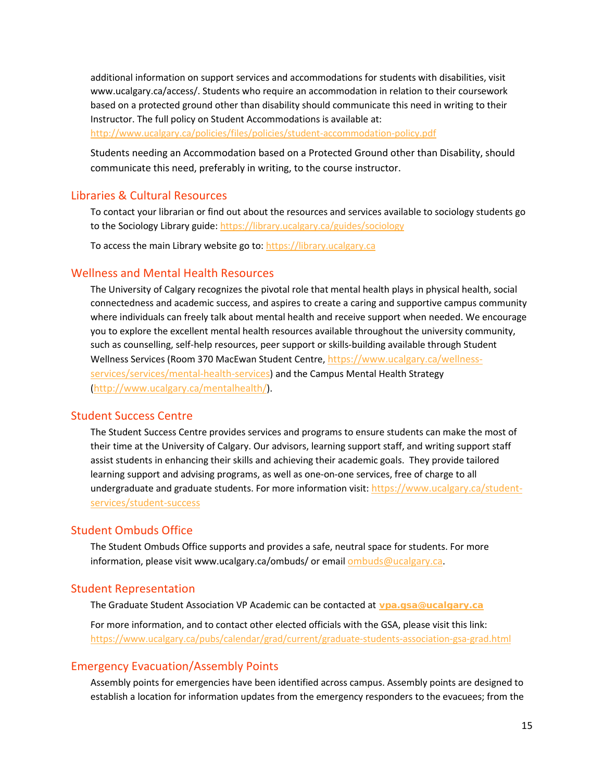additional information on support services and accommodations for students with disabilities, visit www.ucalgary.ca/access/. Students who require an accommodation in relation to their coursework based on a protected ground other than disability should communicate this need in writing to their Instructor. The full policy on Student Accommodations is available at: <http://www.ucalgary.ca/policies/files/policies/student-accommodation-policy.pdf>

Students needing an Accommodation based on a Protected Ground other than Disability, should communicate this need, preferably in writing, to the course instructor.

# Libraries & Cultural Resources

To contact your librarian or find out about the resources and services available to sociology students go to the Sociology Library guide:<https://library.ucalgary.ca/guides/sociology>

To access the main Library website go to[: https://library.ucalgary.ca](https://library.ucalgary.ca/)

# Wellness and Mental Health Resources

The University of Calgary recognizes the pivotal role that mental health plays in physical health, social connectedness and academic success, and aspires to create a caring and supportive campus community where individuals can freely talk about mental health and receive support when needed. We encourage you to explore the excellent mental health resources available throughout the university community, such as counselling, self-help resources, peer support or skills-building available through Student Wellness Services (Room 370 MacEwan Student Centre, [https://www.ucalgary.ca/wellness](https://www.ucalgary.ca/wellness-services/services/mental-health-services)[services/services/mental-health-services\)](https://www.ucalgary.ca/wellness-services/services/mental-health-services) and the Campus Mental Health Strategy [\(http://www.ucalgary.ca/mentalhealth/\)](http://www.ucalgary.ca/mentalhealth/).

### Student Success Centre

The Student Success Centre provides services and programs to ensure students can make the most of their time at the University of Calgary. Our advisors, learning support staff, and writing support staff assist students in enhancing their skills and achieving their academic goals. They provide tailored learning support and advising programs, as well as one-on-one services, free of charge to all undergraduate and graduate students. For more information visit[: https://www.ucalgary.ca/student](https://www.ucalgary.ca/student-services/student-success)[services/student-success](https://www.ucalgary.ca/student-services/student-success)

### Student Ombuds Office

The Student Ombuds Office supports and provides a safe, neutral space for students. For more information, please visit www.ucalgary.ca/ombuds/ or emai[l ombuds@ucalgary.ca.](file://trifs1.uc.ucalgary.ca/SOCI/Admin/07_Course%20Outlines/ombuds@ucalgary.ca)

### Student Representation

The Graduate Student Association VP Academic can be contacted at **[vpa.gsa@ucalgary.ca](file://trifs1.uc.ucalgary.ca/SOCI/Admin/07_Course%20Outlines/vpa.gsa@ucalgary.ca)**

For more information, and to contact other elected officials with the GSA, please visit this link: <https://www.ucalgary.ca/pubs/calendar/grad/current/graduate-students-association-gsa-grad.html>

### Emergency Evacuation/Assembly Points

Assembly points for emergencies have been identified across campus. Assembly points are designed to establish a location for information updates from the emergency responders to the evacuees; from the